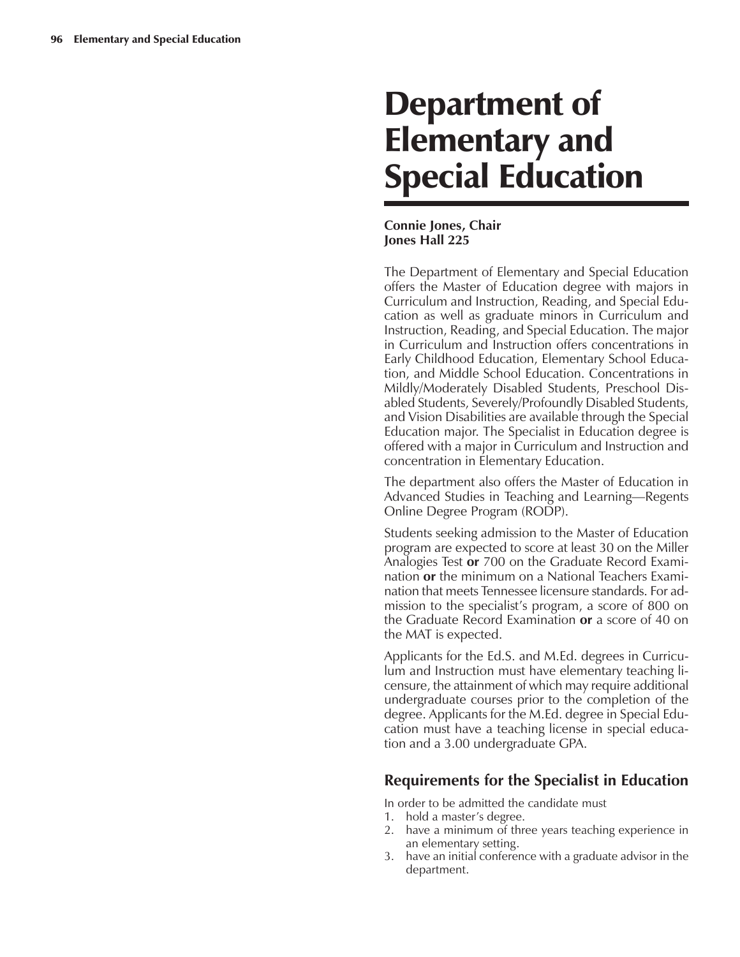# Department of Elementary and Special Education

## **Connie Jones, Chair Jones Hall 225**

The Department of Elementary and Special Education offers the Master of Education degree with majors in Curriculum and Instruction, Reading, and Special Education as well as graduate minors in Curriculum and Instruction, Reading, and Special Education. The major in Curriculum and Instruction offers concentrations in Early Childhood Education, Elementary School Education, and Middle School Education. Concentrations in Mildly/Moderately Disabled Students, Preschool Disabled Students, Severely/Profoundly Disabled Students, and Vision Disabilities are available through the Special Education major. The Specialist in Education degree is offered with a major in Curriculum and Instruction and concentration in Elementary Education.

The department also offers the Master of Education in Advanced Studies in Teaching and Learning—Regents Online Degree Program (RODP).

Students seeking admission to the Master of Education program are expected to score at least 30 on the Miller Analogies Test **or** 700 on the Graduate Record Examination **or** the minimum on a National Teachers Examination that meets Tennessee licensure standards. For admission to the specialist's program, a score of 800 on the Graduate Record Examination **or** a score of 40 on the MAT is expected.

Applicants for the Ed.S. and M.Ed. degrees in Curriculum and Instruction must have elementary teaching licensure, the attainment of which may require additional undergraduate courses prior to the completion of the degree. Applicants for the M.Ed. degree in Special Education must have a teaching license in special education and a 3.00 undergraduate GPA.

# **Requirements for the Specialist in Education**

In order to be admitted the candidate must

- 1. hold a master's degree.
- 2. have a minimum of three years teaching experience in an elementary setting.
- 3. have an initial conference with a graduate advisor in the department.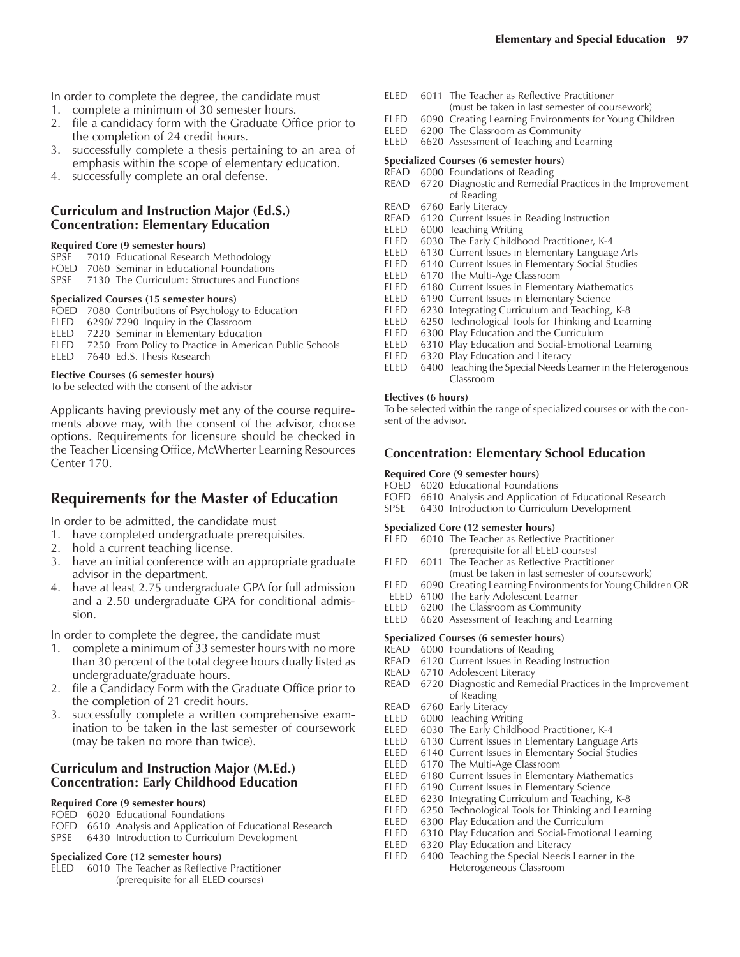- 1. complete a minimum of 30 semester hours.
- 2. file a candidacy form with the Graduate Office prior to the completion of 24 credit hours.
- 3. successfully complete a thesis pertaining to an area of emphasis within the scope of elementary education.
- 4. successfully complete an oral defense.

## **Curriculum and Instruction Major (Ed.S.) Concentration: Elementary Education**

## **Required Core (9 semester hours)**

- SPSE 7010 Educational Research Methodology
- FOED 7060 Seminar in Educational Foundations
- SPSE 7130 The Curriculum: Structures and Functions

## **Specialized Courses (15 semester hours)**

- FOED 7080 Contributions of Psychology to Education
- ELED 6290/ 7290 Inquiry in the Classroom
- ELED 7220 Seminar in Elementary Education<br>ELED 7250 From Policy to Practice in America
- 7250 From Policy to Practice in American Public Schools ELED 7640 Ed.S. Thesis Research

## **Elective Courses (6 semester hours)**

To be selected with the consent of the advisor

Applicants having previously met any of the course requirements above may, with the consent of the advisor, choose options. Requirements for licensure should be checked in the Teacher Licensing Office, McWherter Learning Resources Center 170.

# **Requirements for the Master of Education**

In order to be admitted, the candidate must

- 1. have completed undergraduate prerequisites.
- 2. hold a current teaching license.
- 3. have an initial conference with an appropriate graduate advisor in the department.
- 4. have at least 2.75 undergraduate GPA for full admission and a 2.50 undergraduate GPA for conditional admission.

In order to complete the degree, the candidate must

- 1. complete a minimum of 33 semester hours with no more than 30 percent of the total degree hours dually listed as undergraduate/graduate hours.
- 2. file a Candidacy Form with the Graduate Office prior to the completion of 21 credit hours.
- 3. successfully complete a written comprehensive examination to be taken in the last semester of coursework (may be taken no more than twice).

## **Curriculum and Instruction Major (M.Ed.) Concentration: Early Childhood Education**

## **Required Core (9 semester hours)**

- FOED 6020 Educational Foundations
- FOED 6610 Analysis and Application of Educational Research
- SPSE 6430 Introduction to Curriculum Development

## **Specialized Core (12 semester hours)**

ELED 6010 The Teacher as Reflective Practitioner (prerequisite for all ELED courses)

- ELED 6011 The Teacher as Reflective Practitioner (must be taken in last semester of coursework)
- ELED 6090 Creating Learning Environments for Young Children
- ELED 6200 The Classroom as Community<br>ELED 6620 Assessment of Teaching and Le
- 6620 Assessment of Teaching and Learning

## **Specialized Courses (6 semester hours)**

- READ 6000 Foundations of Reading READ 6720 Diagnostic and Remedial Practices in the Improvement of Reading
- 
- READ 6760 Early Literacy<br>READ 6120 Current Issues 6120 Current Issues in Reading Instruction
- ELED 6000 Teaching Writing
- ELED 6030 The Early Childhood Practitioner, K-4<br>ELED 6130 Current Issues in Elementary Languag
- 6130 Current Issues in Elementary Language Arts
- ELED 6140 Current Issues in Elementary Social Studies
- ELED 6170 The Multi-Age Classroom<br>ELED 6180 Current Issues in Elementa
- 6180 Current Issues in Elementary Mathematics
- ELED 6190 Current Issues in Elementary Science
- ELED 6230 Integrating Curriculum and Teaching, K-8
- ELED 6250 Technological Tools for Thinking and Learning<br>ELED 6300 Play Education and the Curriculum
- ELED 6300 Play Education and the Curriculum<br>ELED 6310 Play Education and Social-Emotion
- 6310 Play Education and Social-Emotional Learning
- ELED 6320 Play Education and Literacy
- ELED 6400 Teaching the Special Needs Learner in the Heterogenous Classroom

## **Electives (6 hours)**

To be selected within the range of specialized courses or with the consent of the advisor.

## **Concentration: Elementary School Education**

#### **Required Core (9 semester hours)**

- FOED 6020 Educational Foundations
- FOED 6610 Analysis and Application of Educational Research
- SPSE 6430 Introduction to Curriculum Development

# **Specialized Core (12 semester hours)**

- 6010 The Teacher as Reflective Practitioner (prerequisite for all ELED courses)
- ELED 6011 The Teacher as Reflective Practitioner (must be taken in last semester of coursework)
- ELED 6090 Creating Learning Environments for Young Children OR
- 
- ELED 6100 The Early Adolescent Learner<br>ELED 6200 The Classroom as Community 6200 The Classroom as Community
- ELED 6620 Assessment of Teaching and Learning

## **Specialized Courses (6 semester hours)**

- READ 6000 Foundations of Reading
- READ 6120 Current Issues in Reading Instruction
- READ 6710 Adolescent Literacy<br>READ 6720 Diagnostic and Rem
- 6720 Diagnostic and Remedial Practices in the Improvement of Reading
- READ 6760 Early Literacy<br>ELED 6000 Teaching Wri
- 6000 Teaching Writing
- ELED 6030 The Early Childhood Practitioner, K-4
- ELED 6130 Current Issues in Elementary Language Arts<br>ELED 6140 Current Issues in Elementary Social Studies
- 6140 Current Issues in Elementary Social Studies
- ELED 6170 The Multi-Age Classroom<br>ELED 6180 Current Issues in Elementa
- 6180 Current Issues in Elementary Mathematics
- ELED 6190 Current Issues in Elementary Science<br>ELED 6230 Integrating Curriculum and Teaching,
- 6230 Integrating Curriculum and Teaching, K-8 ELED 6250 Technological Tools for Thinking and Learning
- 
- ELED 6300 Play Education and the Curriculum ELED 6310 Play Education and Social-Emotional Learning
- 
- ELED 6320 Play Education and Literacy<br>ELED 6400 Teaching the Special Needs 6400 Teaching the Special Needs Learner in the Heterogeneous Classroom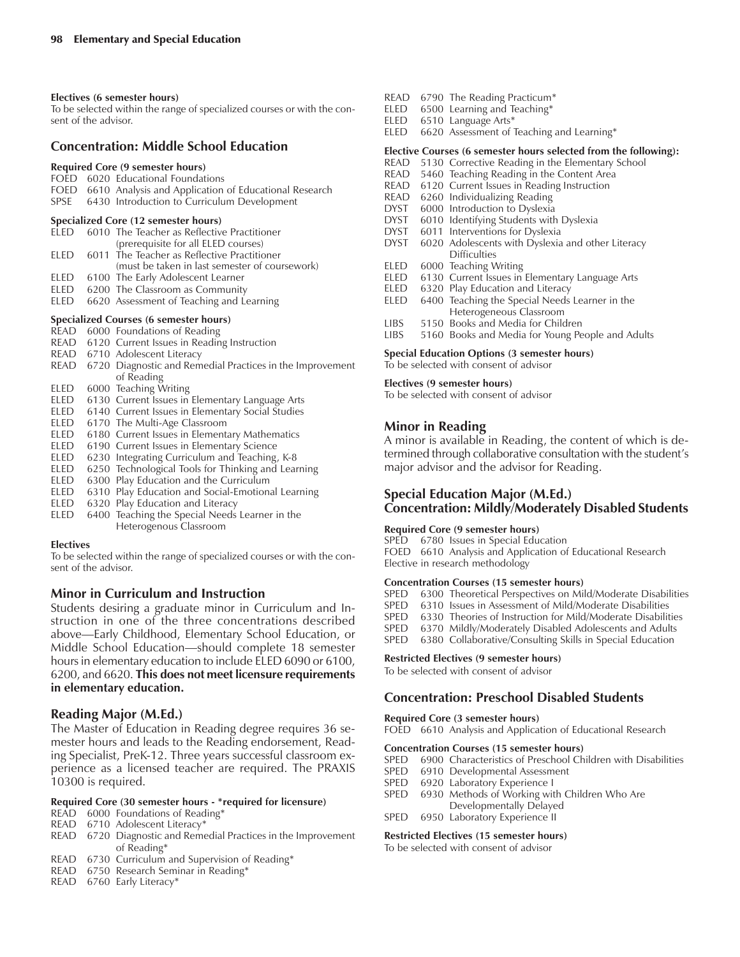#### **Electives (6 semester hours)**

To be selected within the range of specialized courses or with the consent of the advisor.

## **Concentration: Middle School Education**

## **Required Core (9 semester hours)**

- FOED 6020 Educational Foundations
- FOED 6610 Analysis and Application of Educational Research SPSE 6430 Introduction to Curriculum Development

#### **Specialized Core (12 semester hours)**

- ELED 6010 The Teacher as Reflective Practitioner (prerequisite for all ELED courses) ELED 6011 The Teacher as Reflective Practitioner (must be taken in last semester of coursework) ELED 6100 The Early Adolescent Learner
- ELED 6200 The Classroom as Community
- ELED 6620 Assessment of Teaching and Learning

#### **Specialized Courses (6 semester hours)**

- READ 6000 Foundations of Reading
- READ 6120 Current Issues in Reading Instruction
- READ 6710 Adolescent Literacy
- READ 6720 Diagnostic and Remedial Practices in the Improvement of Reading
- ELED 6000 Teaching Writing
- ELED 6130 Current Issues in Elementary Language Arts
- ELED 6140 Current Issues in Elementary Social Studies
- ELED 6170 The Multi-Age Classroom
- ELED 6180 Current Issues in Elementary Mathematics
- ELED 6190 Current Issues in Elementary Science<br>ELED 6230 Integrating Curriculum and Teaching
- 6230 Integrating Curriculum and Teaching, K-8
- ELED 6250 Technological Tools for Thinking and Learning
- ELED 6300 Play Education and the Curriculum<br>ELED 6310 Play Education and Social-Emotion
- 6310 Play Education and Social-Emotional Learning
- ELED 6320 Play Education and Literacy
- ELED 6400 Teaching the Special Needs Learner in the Heterogenous Classroom

#### **Electives**

To be selected within the range of specialized courses or with the consent of the advisor.

## **Minor in Curriculum and Instruction**

Students desiring a graduate minor in Curriculum and Instruction in one of the three concentrations described above—Early Childhood, Elementary School Education, or Middle School Education—should complete 18 semester hours in elementary education to include ELED 6090 or 6100, 6200, and 6620. **This does not meet licensure requirements in elementary education.**

## **Reading Major (M.Ed.)**

The Master of Education in Reading degree requires 36 semester hours and leads to the Reading endorsement, Reading Specialist, PreK-12. Three years successful classroom experience as a licensed teacher are required. The PRAXIS 10300 is required.

#### **Required Core (30 semester hours - \*required for licensure)**

- READ 6000 Foundations of Reading\*
- READ 6710 Adolescent Literacy\*
- READ 6720 Diagnostic and Remedial Practices in the Improvement of Reading\*
- READ 6730 Curriculum and Supervision of Reading\*
- READ 6750 Research Seminar in Reading\*
- READ 6760 Early Literacy\*
- READ 6790 The Reading Practicum\*<br>ELED 6500 Learning and Teaching\*
- $6500$  Learning and Teaching\*
- ELED 6510 Language Arts\*
- ELED 6620 Assessment of Teaching and Learning\*

#### **Elective Courses (6 semester hours selected from the following):**

- READ 5130 Corrective Reading in the Elementary School
- READ 5460 Teaching Reading in the Content Area<br>READ 6120 Current Issues in Reading Instruction
- 6120 Current Issues in Reading Instruction
- READ 6260 Individualizing Reading
- DYST 6000 Introduction to Dyslexia<br>DYST 6010 Identifying Students with
- 6010 Identifying Students with Dyslexia
- DYST 6011 Interventions for Dyslexia
- DYST 6020 Adolescents with Dyslexia and other Literacy **Difficulties**
- ELED 6000 Teaching Writing
- ELED 6130 Current Issues in Elementary Language Arts
- ELED 6320 Play Education and Literacy
- ELED 6400 Teaching the Special Needs Learner in the Heterogeneous Classroom
- LIBS 5150 Books and Media for Children
- LIBS 5160 Books and Media for Young People and Adults

#### **Special Education Options (3 semester hours)**

To be selected with consent of advisor

#### **Electives (9 semester hours)**

To be selected with consent of advisor

## **Minor in Reading**

A minor is available in Reading, the content of which is determined through collaborative consultation with the student's major advisor and the advisor for Reading.

## **Special Education Major (M.Ed.) Concentration: Mildly/Moderately Disabled Students**

#### **Required Core (9 semester hours)**

SPED 6780 Issues in Special Education

FOED 6610 Analysis and Application of Educational Research Elective in research methodology

#### **Concentration Courses (15 semester hours)**

- SPED 6300 Theoretical Perspectives on Mild/Moderate Disabilities
- SPED 6310 Issues in Assessment of Mild/Moderate Disabilities<br>SPED 6330 Theories of Instruction for Mild/Moderate Disabilit
- 6330 Theories of Instruction for Mild/Moderate Disabilities
- SPED 6370 Mildly/Moderately Disabled Adolescents and Adults
- SPED 6380 Collaborative/Consulting Skills in Special Education

#### **Restricted Electives (9 semester hours)**

To be selected with consent of advisor

## **Concentration: Preschool Disabled Students**

#### **Required Core (3 semester hours)** FOED 6610 Analysis and Application of Educational Research

### **Concentration Courses (15 semester hours)**

- SPED 6900 Characteristics of Preschool Children with Disabilities
- SPED 6910 Developmental Assessment
- SPED 6920 Laboratory Experience I
- SPED 6930 Methods of Working with Children Who Are Developmentally Delayed
- SPED 6950 Laboratory Experience II

### **Restricted Electives (15 semester hours)**

To be selected with consent of advisor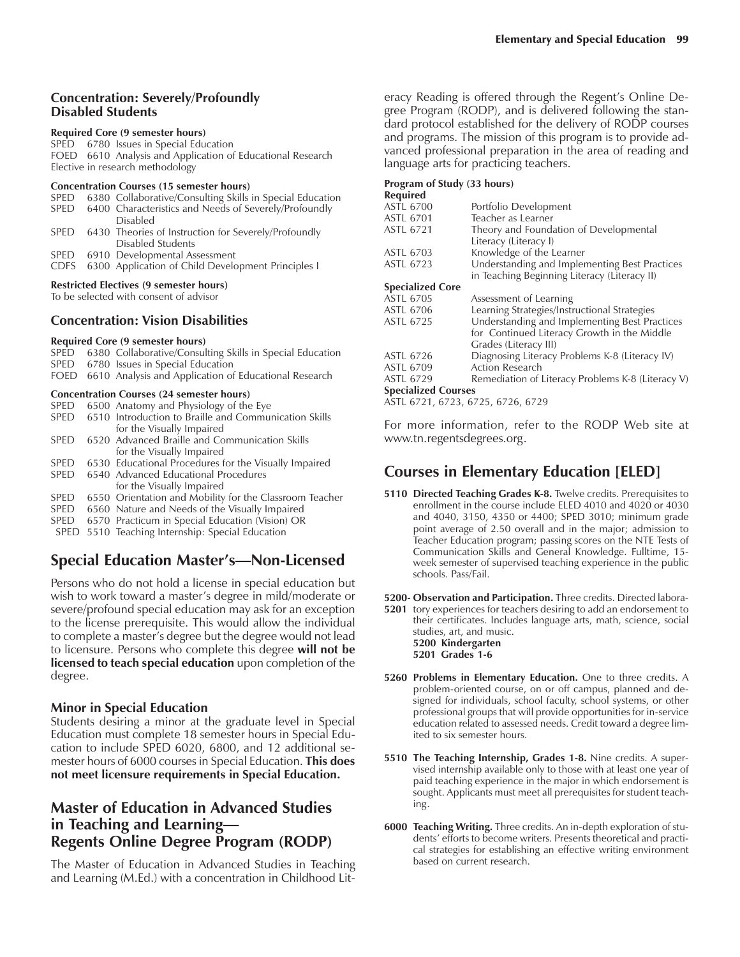## **Concentration: Severely/Profoundly Disabled Students**

#### **Required Core (9 semester hours)**

SPED 6780 Issues in Special Education FOED 6610 Analysis and Application of Educational Research Elective in research methodology

#### **Concentration Courses (15 semester hours)**

| <b>SPED</b>                                    |  | 6380 Collaborative/Consulting Skills in Special Education |  |  |
|------------------------------------------------|--|-----------------------------------------------------------|--|--|
| <b>SPED</b>                                    |  | 6400 Characteristics and Needs of Severely/Profoundly     |  |  |
|                                                |  | <b>Disabled</b>                                           |  |  |
| <b>SPED</b>                                    |  | 6430 Theories of Instruction for Severely/Profoundly      |  |  |
|                                                |  | Disabled Students                                         |  |  |
|                                                |  | SPED 6910 Developmental Assessment                        |  |  |
| CDFS                                           |  | 6300 Application of Child Development Principles I        |  |  |
| <b>Restricted Electives (9 semester hours)</b> |  |                                                           |  |  |

To be selected with consent of advisor

## **Concentration: Vision Disabilities**

#### **Required Core (9 semester hours)**

- SPED 6380 Collaborative/Consulting Skills in Special Education SPED 6780 Issues in Special Education
- FOED 6610 Analysis and Application of Educational Research

#### **Concentration Courses (24 semester hours)**

|             | SPED 6500 Anatomy and Physiology of the Eye           |
|-------------|-------------------------------------------------------|
| <b>SPED</b> | 6510 Introduction to Braille and Communication Skills |
|             | for the Visually Impaired                             |
| <b>SPED</b> | -6520 Advanced Braille and Communication Skills       |
|             | for the Visually Impaired                             |

- SPED 6530 Educational Procedures for the Visually Impaired
- SPED 6540 Advanced Educational Procedures for the Visually Impaired
- SPED 6550 Orientation and Mobility for the Classroom Teacher
- SPED 6560 Nature and Needs of the Visually Impaired
- SPED 6570 Practicum in Special Education (Vision) OR
- SPED 5510 Teaching Internship: Special Education

# **Special Education Master's—Non-Licensed**

Persons who do not hold a license in special education but wish to work toward a master's degree in mild/moderate or severe/profound special education may ask for an exception to the license prerequisite. This would allow the individual to complete a master's degree but the degree would not lead to licensure. Persons who complete this degree **will not be licensed to teach special education** upon completion of the degree.

## **Minor in Special Education**

Students desiring a minor at the graduate level in Special Education must complete 18 semester hours in Special Education to include SPED 6020, 6800, and 12 additional semester hours of 6000 courses in Special Education. **This does not meet licensure requirements in Special Education.**

## **Master of Education in Advanced Studies** in Teaching and Learning-**Regents Online Degree Program (RODP)**

The Master of Education in Advanced Studies in Teaching and Learning (M.Ed.) with a concentration in Childhood Literacy Reading is offered through the Regent's Online Degree Program (RODP), and is delivered following the standard protocol established for the delivery of RODP courses and programs. The mission of this program is to provide advanced professional preparation in the area of reading and language arts for practicing teachers.

## **Program of Study (33 hours)**

| <b>Required</b>            |                                                   |
|----------------------------|---------------------------------------------------|
| <b>ASTL 6700</b>           | Portfolio Development                             |
| <b>ASTL 6701</b>           | Teacher as Learner                                |
| <b>ASTL 6721</b>           | Theory and Foundation of Developmental            |
|                            | Literacy (Literacy I)                             |
| ASTL 6703                  | Knowledge of the Learner                          |
| ASTL 6723                  | Understanding and Implementing Best Practices     |
|                            | in Teaching Beginning Literacy (Literacy II)      |
| <b>Specialized Core</b>    |                                                   |
| ASTL 6705                  | Assessment of Learning                            |
| ASTL 6706                  | Learning Strategies/Instructional Strategies      |
| <b>ASTL 6725</b>           | Understanding and Implementing Best Practices     |
|                            | for Continued Literacy Growth in the Middle       |
|                            | Grades (Literacy III)                             |
| ASTL 6726                  | Diagnosing Literacy Problems K-8 (Literacy IV)    |
| ASTL 6709                  | Action Research                                   |
| <b>ASTL 6729</b>           | Remediation of Literacy Problems K-8 (Literacy V) |
| <b>Specialized Courses</b> |                                                   |
|                            |                                                   |

ASTL 6721, 6723, 6725, 6726, 6729

For more information, refer to the RODP Web site at www.tn.regentsdegrees.org.

# **Courses in Elementary Education [ELED]**

**5110 Directed Teaching Grades K-8.** Twelve credits. Prerequisites to enrollment in the course include ELED 4010 and 4020 or 4030 and 4040, 3150, 4350 or 4400; SPED 3010; minimum grade point average of 2.50 overall and in the major; admission to Teacher Education program; passing scores on the NTE Tests of Communication Skills and General Knowledge. Fulltime, 15 week semester of supervised teaching experience in the public schools. Pass/Fail.

**5200- Observation and Participation.** Three credits. Directed labora-

**5201** tory experiences for teachers desiring to add an endorsement to their certificates. Includes language arts, math, science, social studies, art, and music. **5200 Kindergarten**

**5201 Grades 1-6**

- **5260 Problems in Elementary Education.** One to three credits. A problem-oriented course, on or off campus, planned and designed for individuals, school faculty, school systems, or other professional groups that will provide opportunities for in-service education related to assessed needs. Credit toward a degree limited to six semester hours.
- **5510 The Teaching Internship, Grades 1-8.** Nine credits. A supervised internship available only to those with at least one year of paid teaching experience in the major in which endorsement is sought. Applicants must meet all prerequisites for student teaching.
- **6000 Teaching Writing.** Three credits. An in-depth exploration of students' efforts to become writers. Presents theoretical and practical strategies for establishing an effective writing environment based on current research.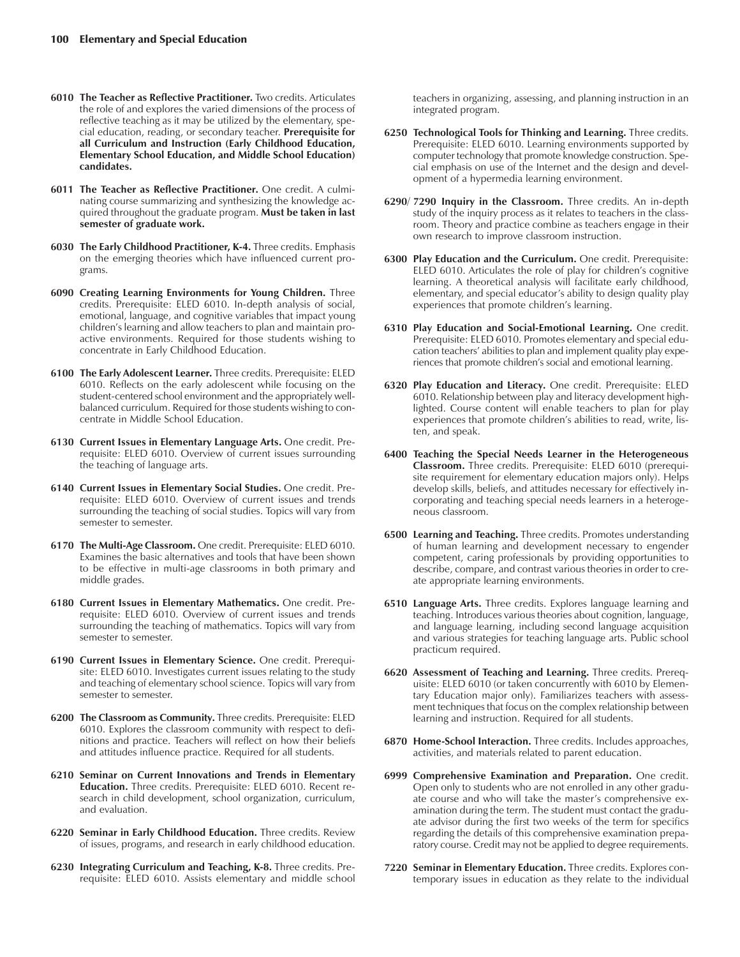- **6010 The Teacher as Reflective Practitioner.** Two credits. Articulates the role of and explores the varied dimensions of the process of reflective teaching as it may be utilized by the elementary, special education, reading, or secondary teacher. **Prerequisite for all Curriculum and Instruction (Early Childhood Education, Elementary School Education, and Middle School Education) candidates.**
- **6011 The Teacher as Reflective Practitioner.** One credit. A culminating course summarizing and synthesizing the knowledge acquired throughout the graduate program. **Must be taken in last semester of graduate work.**
- **6030 The Early Childhood Practitioner, K-4.** Three credits. Emphasis on the emerging theories which have influenced current programs.
- **6090 Creating Learning Environments for Young Children.** Three credits. Prerequisite: ELED 6010. In-depth analysis of social, emotional, language, and cognitive variables that impact young children's learning and allow teachers to plan and maintain proactive environments. Required for those students wishing to concentrate in Early Childhood Education.
- **6100 The Early Adolescent Learner.** Three credits. Prerequisite: ELED 6010. Reflects on the early adolescent while focusing on the student-centered school environment and the appropriately wellbalanced curriculum. Required for those students wishing to concentrate in Middle School Education.
- **6130 Current Issues in Elementary Language Arts.** One credit. Prerequisite: ELED 6010. Overview of current issues surrounding the teaching of language arts.
- **6140 Current Issues in Elementary Social Studies.** One credit. Prerequisite: ELED 6010. Overview of current issues and trends surrounding the teaching of social studies. Topics will vary from semester to semester.
- **6170 The Multi-Age Classroom.** One credit. Prerequisite: ELED 6010. Examines the basic alternatives and tools that have been shown to be effective in multi-age classrooms in both primary and middle grades.
- **6180 Current Issues in Elementary Mathematics.** One credit. Prerequisite: ELED 6010. Overview of current issues and trends surrounding the teaching of mathematics. Topics will vary from semester to semester.
- **6190 Current Issues in Elementary Science.** One credit. Prerequisite: ELED 6010. Investigates current issues relating to the study and teaching of elementary school science. Topics will vary from semester to semester.
- **6200 The Classroom as Community.** Three credits. Prerequisite: ELED 6010. Explores the classroom community with respect to definitions and practice. Teachers will reflect on how their beliefs and attitudes influence practice. Required for all students.
- **6210 Seminar on Current Innovations and Trends in Elementary Education.** Three credits. Prerequisite: ELED 6010. Recent research in child development, school organization, curriculum, and evaluation.
- **6220 Seminar in Early Childhood Education.** Three credits. Review of issues, programs, and research in early childhood education.
- **6230 Integrating Curriculum and Teaching, K-8.** Three credits. Prerequisite: ELED 6010. Assists elementary and middle school

teachers in organizing, assessing, and planning instruction in an integrated program.

- **6250 Technological Tools for Thinking and Learning.** Three credits. Prerequisite: ELED 6010. Learning environments supported by computer technology that promote knowledge construction. Special emphasis on use of the Internet and the design and development of a hypermedia learning environment.
- **6290**/ **7290 Inquiry in the Classroom.** Three credits. An in-depth study of the inquiry process as it relates to teachers in the classroom. Theory and practice combine as teachers engage in their own research to improve classroom instruction.
- **6300 Play Education and the Curriculum.** One credit. Prerequisite: ELED 6010. Articulates the role of play for children's cognitive learning. A theoretical analysis will facilitate early childhood, elementary, and special educator's ability to design quality play experiences that promote children's learning.
- **6310 Play Education and Social-Emotional Learning.** One credit. Prerequisite: ELED 6010. Promotes elementary and special education teachers' abilities to plan and implement quality play experiences that promote children's social and emotional learning.
- **6320 Play Education and Literacy.** One credit. Prerequisite: ELED 6010. Relationship between play and literacy development highlighted. Course content will enable teachers to plan for play experiences that promote children's abilities to read, write, listen, and speak.
- **6400 Teaching the Special Needs Learner in the Heterogeneous Classroom.** Three credits. Prerequisite: ELED 6010 (prerequisite requirement for elementary education majors only). Helps develop skills, beliefs, and attitudes necessary for effectively incorporating and teaching special needs learners in a heterogeneous classroom.
- **6500 Learning and Teaching.** Three credits. Promotes understanding of human learning and development necessary to engender competent, caring professionals by providing opportunities to describe, compare, and contrast various theories in order to create appropriate learning environments.
- **6510 Language Arts.** Three credits. Explores language learning and teaching. Introduces various theories about cognition, language, and language learning, including second language acquisition and various strategies for teaching language arts. Public school practicum required.
- **6620 Assessment of Teaching and Learning.** Three credits. Prerequisite: ELED 6010 (or taken concurrently with 6010 by Elementary Education major only). Familiarizes teachers with assessment techniques that focus on the complex relationship between learning and instruction. Required for all students.
- **6870 Home-School Interaction.** Three credits. Includes approaches, activities, and materials related to parent education.
- **6999 Comprehensive Examination and Preparation.** One credit. Open only to students who are not enrolled in any other graduate course and who will take the master's comprehensive examination during the term. The student must contact the graduate advisor during the first two weeks of the term for specifics regarding the details of this comprehensive examination preparatory course. Credit may not be applied to degree requirements.
- **7220 Seminar in Elementary Education.** Three credits. Explores contemporary issues in education as they relate to the individual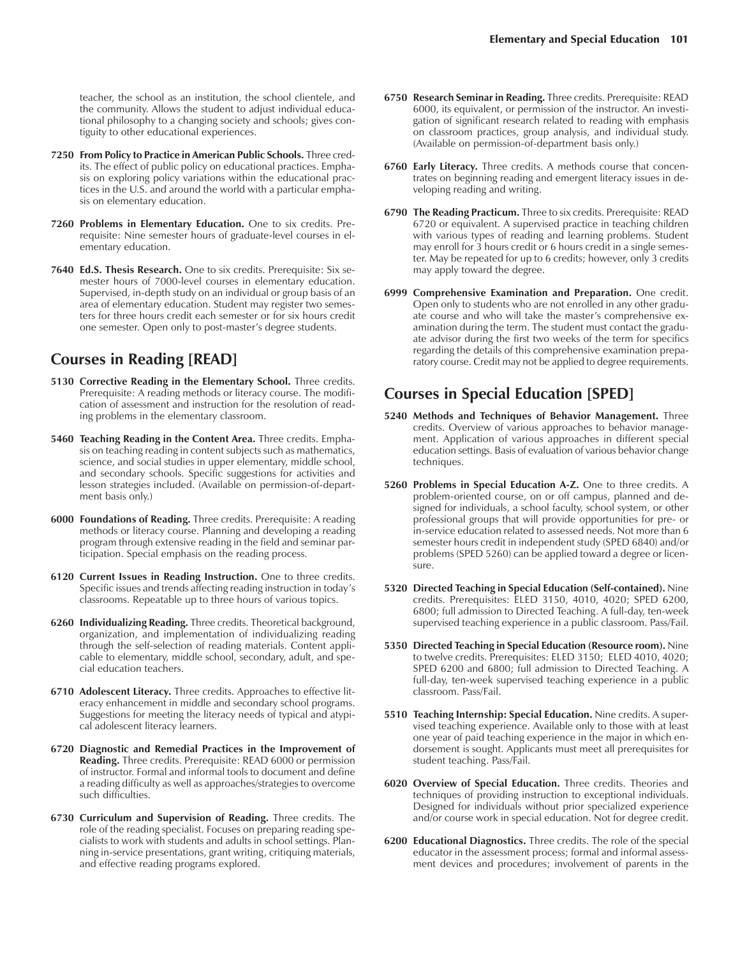teacher, the school as an institution, the school clientele, and the community. Allows the student to adjust individual educational philosophy to a changing society and schools; gives contiguity to other educational experiences.

- **7250 From Policy to Practice in American Public Schools.** Three credits. The effect of public policy on educational practices. Emphasis on exploring policy variations within the educational practices in the U.S. and around the world with a particular emphasis on elementary education.
- **7260 Problems in Elementary Education.** One to six credits. Prerequisite: Nine semester hours of graduate-level courses in elementary education.
- **7640 Ed.S. Thesis Research.** One to six credits. Prerequisite: Six semester hours of 7000-level courses in elementary education. Supervised, in-depth study on an individual or group basis of an area of elementary education. Student may register two semesters for three hours credit each semester or for six hours credit one semester. Open only to post-master's degree students.

# **Courses in Reading [READ]**

- **5130 Corrective Reading in the Elementary School.** Three credits. Prerequisite: A reading methods or literacy course. The modification of assessment and instruction for the resolution of reading problems in the elementary classroom.
- **5460 Teaching Reading in the Content Area.** Three credits. Emphasis on teaching reading in content subjects such as mathematics, science, and social studies in upper elementary, middle school, and secondary schools. Specific suggestions for activities and lesson strategies included. (Available on permission-of-department basis only.)
- **6000 Foundations of Reading.** Three credits. Prerequisite: A reading methods or literacy course. Planning and developing a reading program through extensive reading in the field and seminar participation. Special emphasis on the reading process.
- **6120 Current Issues in Reading Instruction.** One to three credits. Specific issues and trends affecting reading instruction in today's classrooms. Repeatable up to three hours of various topics.
- **6260 Individualizing Reading.** Three credits. Theoretical background, organization, and implementation of individualizing reading through the self-selection of reading materials. Content applicable to elementary, middle school, secondary, adult, and special education teachers.
- **6710 Adolescent Literacy.** Three credits. Approaches to effective literacy enhancement in middle and secondary school programs. Suggestions for meeting the literacy needs of typical and atypical adolescent literacy learners.
- **6720 Diagnostic and Remedial Practices in the Improvement of Reading.** Three credits. Prerequisite: READ 6000 or permission of instructor. Formal and informal tools to document and define a reading difficulty as well as approaches/strategies to overcome such difficulties.
- **6730 Curriculum and Supervision of Reading.** Three credits. The role of the reading specialist. Focuses on preparing reading specialists to work with students and adults in school settings. Planning in-service presentations, grant writing, critiquing materials, and effective reading programs explored.
- **6750 Research Seminar in Reading.** Three credits. Prerequisite: READ 6000, its equivalent, or permission of the instructor. An investigation of significant research related to reading with emphasis on classroom practices, group analysis, and individual study. (Available on permission-of-department basis only.)
- **6760 Early Literacy.** Three credits. A methods course that concentrates on beginning reading and emergent literacy issues in developing reading and writing.
- **6790 The Reading Practicum.** Three to six credits. Prerequisite: READ 6720 or equivalent. A supervised practice in teaching children with various types of reading and learning problems. Student may enroll for 3 hours credit or 6 hours credit in a single semester. May be repeated for up to 6 credits; however, only 3 credits may apply toward the degree.
- **6999 Comprehensive Examination and Preparation.** One credit. Open only to students who are not enrolled in any other graduate course and who will take the master's comprehensive examination during the term. The student must contact the graduate advisor during the first two weeks of the term for specifics regarding the details of this comprehensive examination preparatory course. Credit may not be applied to degree requirements.

# **Courses in Special Education [SPED]**

- **5240 Methods and Techniques of Behavior Management.** Three credits. Overview of various approaches to behavior management. Application of various approaches in different special education settings. Basis of evaluation of various behavior change techniques.
- **5260 Problems in Special Education A-Z.** One to three credits. A problem-oriented course, on or off campus, planned and designed for individuals, a school faculty, school system, or other professional groups that will provide opportunities for pre- or in-service education related to assessed needs. Not more than 6 semester hours credit in independent study (SPED 6840) and/or problems (SPED 5260) can be applied toward a degree or licensure.
- **5320 Directed Teaching in Special Education (Self-contained).** Nine credits. Prerequisites: ELED 3150, 4010, 4020; SPED 6200, 6800; full admission to Directed Teaching. A full-day, ten-week supervised teaching experience in a public classroom. Pass/Fail.
- **5350 Directed Teaching in Special Education (Resource room).** Nine to twelve credits. Prerequisites: ELED 3150; ELED 4010, 4020; SPED 6200 and 6800; full admission to Directed Teaching. A full-day, ten-week supervised teaching experience in a public classroom. Pass/Fail.
- **5510 Teaching Internship: Special Education.** Nine credits. A supervised teaching experience. Available only to those with at least one year of paid teaching experience in the major in which endorsement is sought. Applicants must meet all prerequisites for student teaching. Pass/Fail.
- **6020 Overview of Special Education.** Three credits. Theories and techniques of providing instruction to exceptional individuals. Designed for individuals without prior specialized experience and/or course work in special education. Not for degree credit.
- **6200 Educational Diagnostics.** Three credits. The role of the special educator in the assessment process; formal and informal assessment devices and procedures; involvement of parents in the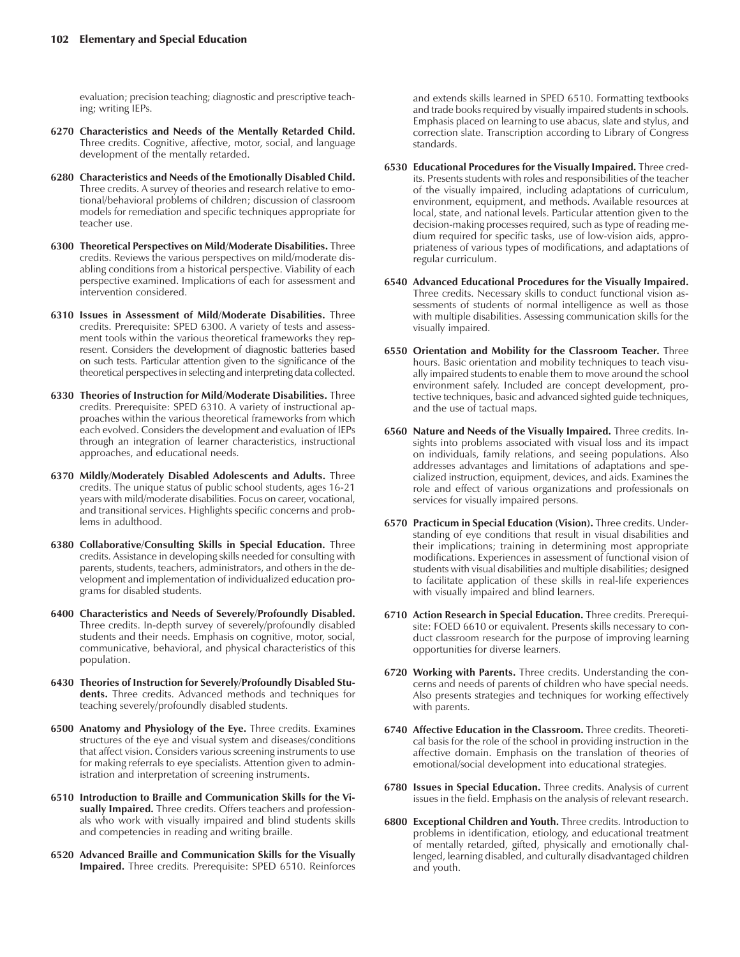evaluation; precision teaching; diagnostic and prescriptive teaching; writing IEPs.

- **6270 Characteristics and Needs of the Mentally Retarded Child.** Three credits. Cognitive, affective, motor, social, and language development of the mentally retarded.
- **6280 Characteristics and Needs of the Emotionally Disabled Child.** Three credits. A survey of theories and research relative to emotional/behavioral problems of children; discussion of classroom models for remediation and specific techniques appropriate for teacher use.
- **6300 Theoretical Perspectives on Mild/Moderate Disabilities.** Three credits. Reviews the various perspectives on mild/moderate disabling conditions from a historical perspective. Viability of each perspective examined. Implications of each for assessment and intervention considered.
- **6310 Issues in Assessment of Mild/Moderate Disabilities.** Three credits. Prerequisite: SPED 6300. A variety of tests and assessment tools within the various theoretical frameworks they represent. Considers the development of diagnostic batteries based on such tests. Particular attention given to the significance of the theoretical perspectives in selecting and interpreting data collected.
- **6330 Theories of Instruction for Mild/Moderate Disabilities.** Three credits. Prerequisite: SPED 6310. A variety of instructional approaches within the various theoretical frameworks from which each evolved. Considers the development and evaluation of IEPs through an integration of learner characteristics, instructional approaches, and educational needs.
- **6370 Mildly/Moderately Disabled Adolescents and Adults.** Three credits. The unique status of public school students, ages 16-21 years with mild/moderate disabilities. Focus on career, vocational, and transitional services. Highlights specific concerns and problems in adulthood.
- **6380 Collaborative/Consulting Skills in Special Education.** Three credits. Assistance in developing skills needed for consulting with parents, students, teachers, administrators, and others in the development and implementation of individualized education programs for disabled students.
- **6400 Characteristics and Needs of Severely/Profoundly Disabled.** Three credits. In-depth survey of severely/profoundly disabled students and their needs. Emphasis on cognitive, motor, social, communicative, behavioral, and physical characteristics of this population.
- **6430 Theories of Instruction for Severely/Profoundly Disabled Students.** Three credits. Advanced methods and techniques for teaching severely/profoundly disabled students.
- **6500 Anatomy and Physiology of the Eye.** Three credits. Examines structures of the eye and visual system and diseases/conditions that affect vision. Considers various screening instruments to use for making referrals to eye specialists. Attention given to administration and interpretation of screening instruments.
- **6510 Introduction to Braille and Communication Skills for the Visually Impaired.** Three credits. Offers teachers and professionals who work with visually impaired and blind students skills and competencies in reading and writing braille.
- **6520 Advanced Braille and Communication Skills for the Visually Impaired.** Three credits. Prerequisite: SPED 6510. Reinforces

and extends skills learned in SPED 6510. Formatting textbooks and trade books required by visually impaired students in schools. Emphasis placed on learning to use abacus, slate and stylus, and correction slate. Transcription according to Library of Congress standards.

- **6530 Educational Procedures for the Visually Impaired.** Three credits. Presents students with roles and responsibilities of the teacher of the visually impaired, including adaptations of curriculum, environment, equipment, and methods. Available resources at local, state, and national levels. Particular attention given to the decision-making processes required, such as type of reading medium required for specific tasks, use of low-vision aids, appropriateness of various types of modifications, and adaptations of regular curriculum.
- **6540 Advanced Educational Procedures for the Visually Impaired.** Three credits. Necessary skills to conduct functional vision assessments of students of normal intelligence as well as those with multiple disabilities. Assessing communication skills for the visually impaired.
- **6550 Orientation and Mobility for the Classroom Teacher.** Three hours. Basic orientation and mobility techniques to teach visually impaired students to enable them to move around the school environment safely. Included are concept development, protective techniques, basic and advanced sighted guide techniques, and the use of tactual maps.
- **6560 Nature and Needs of the Visually Impaired.** Three credits. Insights into problems associated with visual loss and its impact on individuals, family relations, and seeing populations. Also addresses advantages and limitations of adaptations and specialized instruction, equipment, devices, and aids. Examines the role and effect of various organizations and professionals on services for visually impaired persons.
- **6570 Practicum in Special Education (Vision).** Three credits. Understanding of eye conditions that result in visual disabilities and their implications; training in determining most appropriate modifications. Experiences in assessment of functional vision of students with visual disabilities and multiple disabilities; designed to facilitate application of these skills in real-life experiences with visually impaired and blind learners.
- **6710 Action Research in Special Education.** Three credits. Prerequisite: FOED 6610 or equivalent. Presents skills necessary to conduct classroom research for the purpose of improving learning opportunities for diverse learners.
- **6720 Working with Parents.** Three credits. Understanding the concerns and needs of parents of children who have special needs. Also presents strategies and techniques for working effectively with parents.
- **6740 Affective Education in the Classroom.** Three credits. Theoretical basis for the role of the school in providing instruction in the affective domain. Emphasis on the translation of theories of emotional/social development into educational strategies.
- **6780 Issues in Special Education.** Three credits. Analysis of current issues in the field. Emphasis on the analysis of relevant research.
- **6800 Exceptional Children and Youth.** Three credits. Introduction to problems in identification, etiology, and educational treatment of mentally retarded, gifted, physically and emotionally challenged, learning disabled, and culturally disadvantaged children and youth.